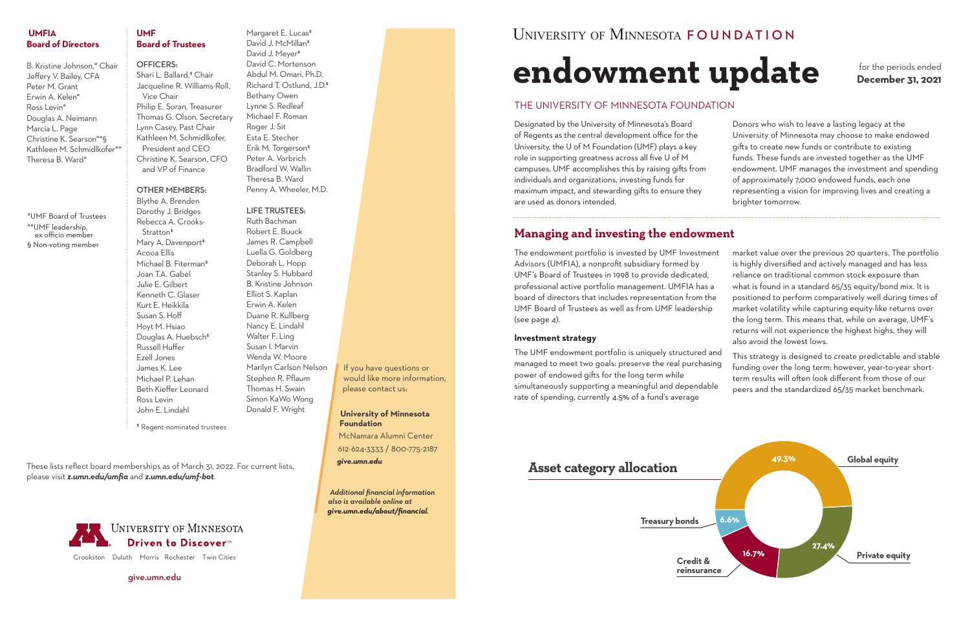**Credit & reinsurance**

**Treasury bonds**



# **endowment update**

# **Managing and investing the endowment**

The endowment portfolio is invested by UMF Investment Advisors (UMFIA), a nonprofit subsidiary formed by UMF's Board of Trustees in 1998 to provide dedicated, professional active portfolio management. UMFIA has a board of directors that includes representation from the UMF Board of Trustees as well as from UMF leadership (see page 4).

### **Investment strategy**

The UMF endowment portfolio is uniquely structured and managed to meet two goals: preserve the real purchasing power of endowed gifts for the long term while simultaneously supporting a meaningful and dependable rate of spending, currently 4.5% of a fund's average

- market value over the previous 20 quarters. The portfolio is highly diversified and actively managed and has less reliance on traditional common stock exposure than what is found in a standard 65/35 equity/bond mix. It is positioned to perform comparatively well during times of market volatility while capturing equity-like returns over the long term. This means that, while on average, UMF's returns will not experience the highest highs, they will also avoid the lowest lows. This strategy is designed to create predictable and stable
- funding over the long term; however, year-to-year shortterm results will often look different from those of our peers and the standardized 65/35 market benchmark.

for the periods ended **December 31, 2021**

# **Asset category allocation**

### THE UNIVERSITY OF MINNESOTA FOUNDATION

Designated by the University of Minnesota's Board of Regents as the central development office for the University, the U of M Foundation (UMF) plays a key role in supporting greatness across all five U of M campuses. UMF accomplishes this by raising gifts from individuals and organizations, investing funds for maximum impact, and stewarding gifts to ensure they are used as donors intended.

Margaret E. Lucas<sup>\*</sup> David J. McMillan‡ David J. Meyer<sup>#</sup> David C. Mortenson Abdul M. Omari, Ph.D. Richard T. Ostlund, J.D.‡ Bethany Owen Lynne S. Redleaf Michael F. Roman Roger J. Sit Esta E. Stecher Erik M. Torgerson‡ Peter A. Vorbrich Bradford W. Wallin Theresa B. Ward Penny A. Wheeler, M.D.

Donors who wish to leave a lasting legacy at the University of Minnesota may choose to make endowed gifts to create new funds or contribute to existing funds. These funds are invested together as the UMF endowment. UMF manages the investment and spending of approximately 7,000 endowed funds, each one representing a vision for improving lives and creating a brighter tomorrow.

Crookston Duluth Morris Rochester Twin Cities

give.umn.edu

UNIVERSITY OF MINNESOTA FOUNDATION

### **UMFIA Board of Directors**

B. Kristine Johnson,\* Chair Jeffery V. Bailey, CFA Peter M. Grant Erwin A. Kelen\* Ross Levin\* Douglas A. Neimann Marcia L. Page Christine K. Searson\*\*§ Kathleen M. Schmidlkofer\*\* Theresa B. Ward\*

### **UMF Board of Trustees**

### OFFICERS:

Shari L. Ballard,‡ Chair Jacqueline R. Williams-Roll, Vice Chair Philip E. Soran, Treasurer Thomas G. Olson, Secretary Lynn Casey, Past Chair Kathleen M. Schmidlkofer, President and CEO Christine K. Searson, CFO and VP of Finance

### OTHER MEMBERS:

Blythe A. Brenden Dorothy J. Bridges Rebecca A. Crooks- Stratton‡ Mary A. Davenport<sup>#</sup> Acooa Ellis Michael B. Fiterman‡ Joan T.A. Gabel Julie E. Gilbert Kenneth C. Glaser Kurt E. Heikkila Susan S. Hoff Hoyt M. Hsiao Douglas A. Huebsch<sup>#</sup> Russell Huffer Ezell Jones James K. Lee Michael P. Lehan Beth Kieffer Leonard Ross Levin John E. Lindahl

### LIFE TRUSTEES:

Ruth Bachman Robert E. Buuck James R. Campbell Luella G. Goldberg Deborah L. Hopp Stanley S. Hubbard B. Kristine Johnson Elliot S. Kaplan Erwin A. Kelen Duane R. Kullberg Nancy E. Lindahl Walter F. Ling Susan I. Marvin Wenda W. Moore Marilyn Carlson Nelson Stephen R. Pflaum Thomas H. Swain Simon KaWo Wong Donald F. Wright

\*UMF Board of Trustees \*\*UMF leadership, ex officio member § Non-voting member

> *Additional financial information also is available online at give.umn.edu/about/financial.*



If you have questions or would like more information, please contact us:

**University of Minnesota Foundation** McNamara Alumni Center

612-624-3333 / 800-775-2187

*give.umn.edu*

‡ Regent-nominated trustees

These lists reflect board memberships as of March 31, 2022. For current lists, please visit *z.umn.edu/umfia* and *z.umn.edu/umf-bot*.